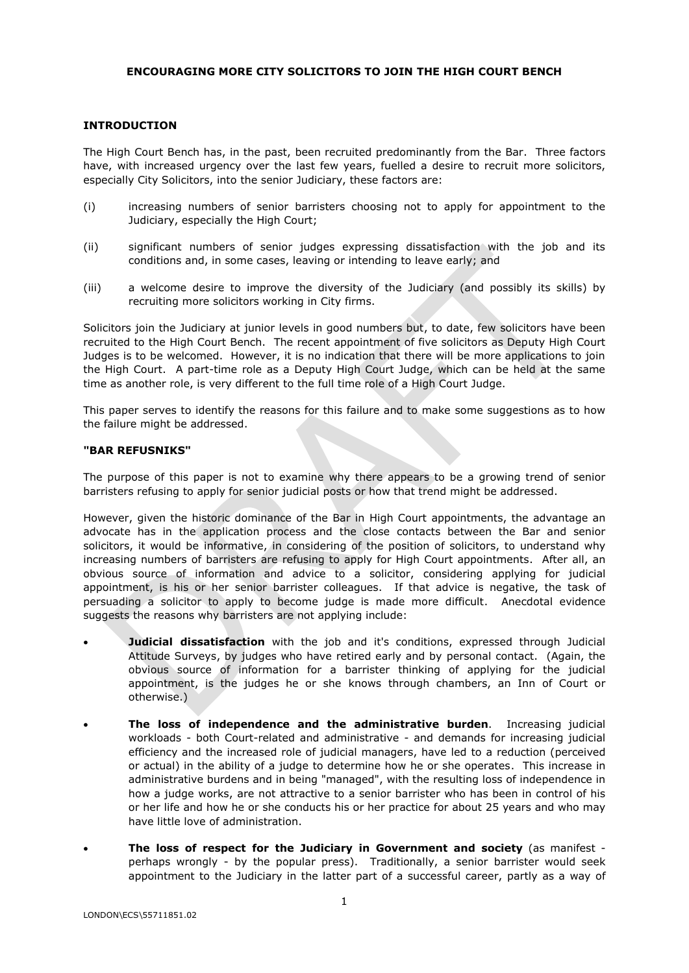### **ENCOURAGING MORE CITY SOLICITORS TO JOIN THE HIGH COURT BENCH**

#### **INTRODUCTION**

The High Court Bench has, in the past, been recruited predominantly from the Bar. Three factors have, with increased urgency over the last few years, fuelled a desire to recruit more solicitors, especially City Solicitors, into the senior Judiciary, these factors are:

- (i) increasing numbers of senior barristers choosing not to apply for appointment to the Judiciary, especially the High Court;
- (ii) significant numbers of senior judges expressing dissatisfaction with the job and its conditions and, in some cases, leaving or intending to leave early; and
- (iii) a welcome desire to improve the diversity of the Judiciary (and possibly its skills) by recruiting more solicitors working in City firms.

Solicitors join the Judiciary at junior levels in good numbers but, to date, few solicitors have been recruited to the High Court Bench. The recent appointment of five solicitors as Deputy High Court Judges is to be welcomed. However, it is no indication that there will be more applications to join the High Court. A part-time role as a Deputy High Court Judge, which can be held at the same time as another role, is very different to the full time role of a High Court Judge.

This paper serves to identify the reasons for this failure and to make some suggestions as to how the failure might be addressed.

#### **"BAR REFUSNIKS"**

The purpose of this paper is not to examine why there appears to be a growing trend of senior barristers refusing to apply for senior judicial posts or how that trend might be addressed.

However, given the historic dominance of the Bar in High Court appointments, the advantage an advocate has in the application process and the close contacts between the Bar and senior solicitors, it would be informative, in considering of the position of solicitors, to understand why increasing numbers of barristers are refusing to apply for High Court appointments. After all, an obvious source of information and advice to a solicitor, considering applying for judicial appointment, is his or her senior barrister colleagues. If that advice is negative, the task of persuading a solicitor to apply to become judge is made more difficult. Anecdotal evidence suggests the reasons why barristers are not applying include:

- **Judicial dissatisfaction** with the job and it's conditions, expressed through Judicial Attitude Surveys, by judges who have retired early and by personal contact. (Again, the obvious source of information for a barrister thinking of applying for the judicial appointment, is the judges he or she knows through chambers, an Inn of Court or otherwise.)
- **The loss of independence and the administrative burden**. Increasing judicial workloads - both Court-related and administrative - and demands for increasing judicial efficiency and the increased role of judicial managers, have led to a reduction (perceived or actual) in the ability of a judge to determine how he or she operates. This increase in administrative burdens and in being "managed", with the resulting loss of independence in how a judge works, are not attractive to a senior barrister who has been in control of his or her life and how he or she conducts his or her practice for about 25 years and who may have little love of administration.
- **The loss of respect for the Judiciary in Government and society** (as manifest perhaps wrongly - by the popular press). Traditionally, a senior barrister would seek appointment to the Judiciary in the latter part of a successful career, partly as a way of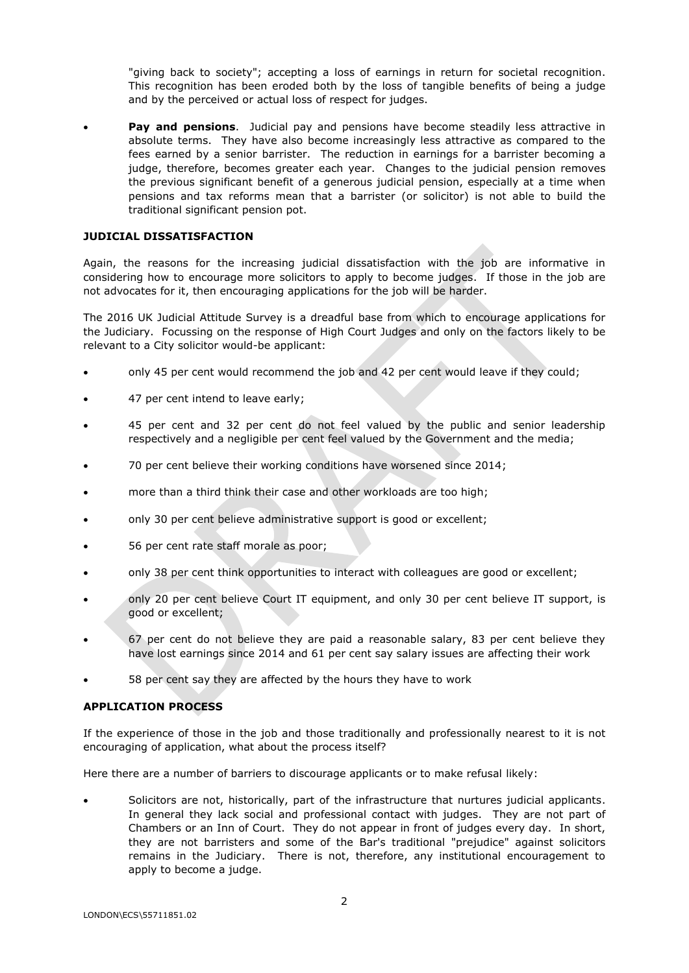"giving back to society"; accepting a loss of earnings in return for societal recognition. This recognition has been eroded both by the loss of tangible benefits of being a judge and by the perceived or actual loss of respect for judges.

**Pay and pensions.** Judicial pay and pensions have become steadily less attractive in absolute terms. They have also become increasingly less attractive as compared to the fees earned by a senior barrister. The reduction in earnings for a barrister becoming a judge, therefore, becomes greater each year. Changes to the judicial pension removes the previous significant benefit of a generous judicial pension, especially at a time when pensions and tax reforms mean that a barrister (or solicitor) is not able to build the traditional significant pension pot.

### **JUDICIAL DISSATISFACTION**

Again, the reasons for the increasing judicial dissatisfaction with the job are informative in considering how to encourage more solicitors to apply to become judges. If those in the job are not advocates for it, then encouraging applications for the job will be harder.

The 2016 UK Judicial Attitude Survey is a dreadful base from which to encourage applications for the Judiciary. Focussing on the response of High Court Judges and only on the factors likely to be relevant to a City solicitor would-be applicant:

- only 45 per cent would recommend the job and 42 per cent would leave if they could;
- 47 per cent intend to leave early;
- 45 per cent and 32 per cent do not feel valued by the public and senior leadership respectively and a negligible per cent feel valued by the Government and the media;
- 70 per cent believe their working conditions have worsened since 2014;
- more than a third think their case and other workloads are too high;
- only 30 per cent believe administrative support is good or excellent;
- 56 per cent rate staff morale as poor;
- only 38 per cent think opportunities to interact with colleagues are good or excellent;
- only 20 per cent believe Court IT equipment, and only 30 per cent believe IT support, is good or excellent;
- 67 per cent do not believe they are paid a reasonable salary, 83 per cent believe they have lost earnings since 2014 and 61 per cent say salary issues are affecting their work
- 58 per cent say they are affected by the hours they have to work

#### **APPLICATION PROCESS**

If the experience of those in the job and those traditionally and professionally nearest to it is not encouraging of application, what about the process itself?

Here there are a number of barriers to discourage applicants or to make refusal likely:

 Solicitors are not, historically, part of the infrastructure that nurtures judicial applicants. In general they lack social and professional contact with judges. They are not part of Chambers or an Inn of Court. They do not appear in front of judges every day. In short, they are not barristers and some of the Bar's traditional "prejudice" against solicitors remains in the Judiciary. There is not, therefore, any institutional encouragement to apply to become a judge.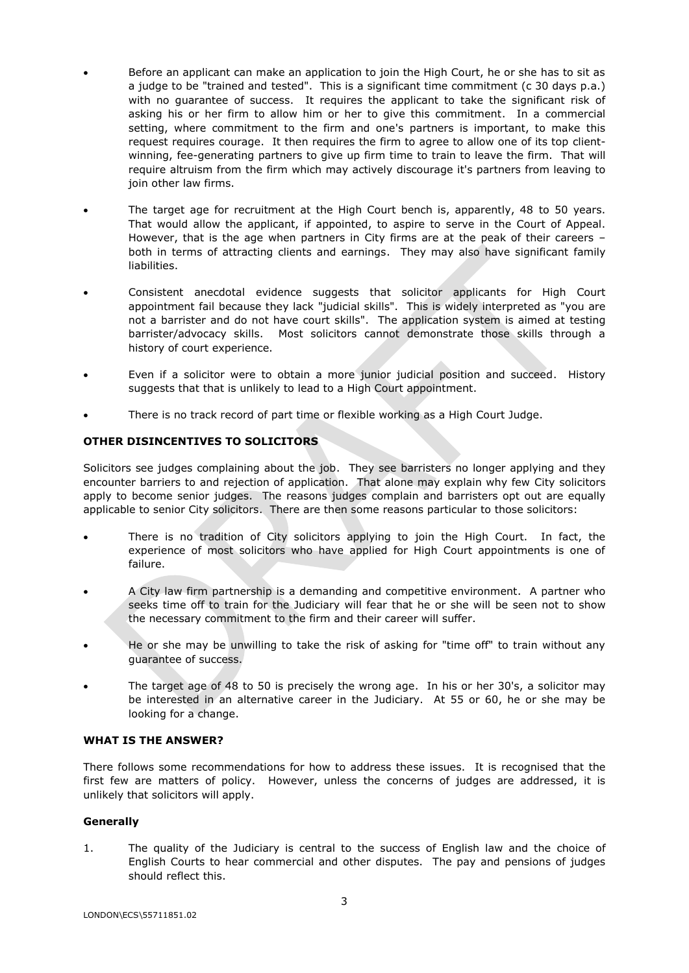- Before an applicant can make an application to join the High Court, he or she has to sit as a judge to be "trained and tested". This is a significant time commitment (c 30 days p.a.) with no guarantee of success. It requires the applicant to take the significant risk of asking his or her firm to allow him or her to give this commitment. In a commercial setting, where commitment to the firm and one's partners is important, to make this request requires courage. It then requires the firm to agree to allow one of its top clientwinning, fee-generating partners to give up firm time to train to leave the firm. That will require altruism from the firm which may actively discourage it's partners from leaving to join other law firms.
- The target age for recruitment at the High Court bench is, apparently, 48 to 50 years. That would allow the applicant, if appointed, to aspire to serve in the Court of Appeal. However, that is the age when partners in City firms are at the peak of their careers – both in terms of attracting clients and earnings. They may also have significant family liabilities.
- Consistent anecdotal evidence suggests that solicitor applicants for High Court appointment fail because they lack "judicial skills". This is widely interpreted as "you are not a barrister and do not have court skills". The application system is aimed at testing barrister/advocacy skills. Most solicitors cannot demonstrate those skills through a history of court experience.
- Even if a solicitor were to obtain a more junior judicial position and succeed. History suggests that that is unlikely to lead to a High Court appointment.
- There is no track record of part time or flexible working as a High Court Judge.

# **OTHER DISINCENTIVES TO SOLICITORS**

Solicitors see judges complaining about the job. They see barristers no longer applying and they encounter barriers to and rejection of application. That alone may explain why few City solicitors apply to become senior judges. The reasons judges complain and barristers opt out are equally applicable to senior City solicitors. There are then some reasons particular to those solicitors:

- There is no tradition of City solicitors applying to join the High Court. In fact, the experience of most solicitors who have applied for High Court appointments is one of failure.
- A City law firm partnership is a demanding and competitive environment. A partner who seeks time off to train for the Judiciary will fear that he or she will be seen not to show the necessary commitment to the firm and their career will suffer.
- He or she may be unwilling to take the risk of asking for "time off" to train without any guarantee of success.
- The target age of 48 to 50 is precisely the wrong age. In his or her 30's, a solicitor may be interested in an alternative career in the Judiciary. At 55 or 60, he or she may be looking for a change.

#### **WHAT IS THE ANSWER?**

There follows some recommendations for how to address these issues. It is recognised that the first few are matters of policy. However, unless the concerns of judges are addressed, it is unlikely that solicitors will apply.

#### **Generally**

1. The quality of the Judiciary is central to the success of English law and the choice of English Courts to hear commercial and other disputes. The pay and pensions of judges should reflect this.